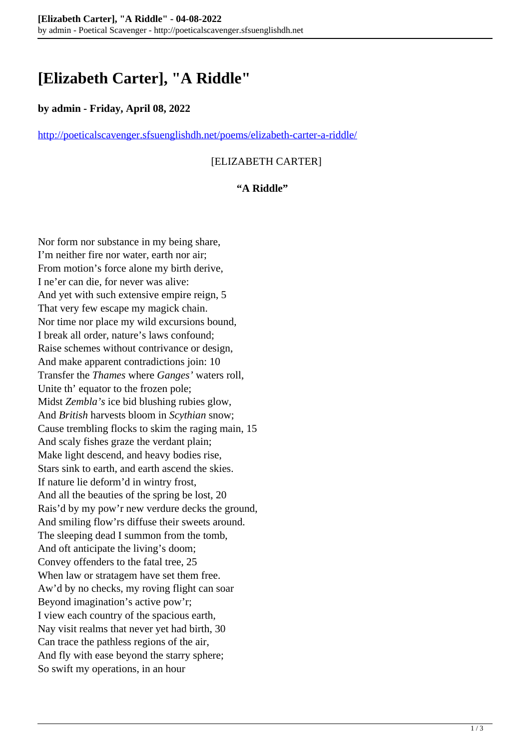# **[Elizabeth Carter], "A Riddle"**

#### **by admin - Friday, April 08, 2022**

<http://poeticalscavenger.sfsuenglishdh.net/poems/elizabeth-carter-a-riddle/>

## [ELIZABETH CARTER]

#### **"A Riddle"**

Nor form nor substance in my being share, I'm neither fire nor water, earth nor air; From motion's force alone my birth derive, I ne'er can die, for never was alive: And yet with such extensive empire reign, 5 That very few escape my magick chain. Nor time nor place my wild excursions bound, I break all order, nature's laws confound; Raise schemes without contrivance or design, And make apparent contradictions join: 10 Transfer the *Thames* where *Ganges'* waters roll, Unite th' equator to the frozen pole; Midst *Zembla's* ice bid blushing rubies glow, And *British* harvests bloom in *Scythian* snow; Cause trembling flocks to skim the raging main, 15 And scaly fishes graze the verdant plain; Make light descend, and heavy bodies rise, Stars sink to earth, and earth ascend the skies. If nature lie deform'd in wintry frost, And all the beauties of the spring be lost, 20 Rais'd by my pow'r new verdure decks the ground, And smiling flow'rs diffuse their sweets around. The sleeping dead I summon from the tomb, And oft anticipate the living's doom; Convey offenders to the fatal tree, 25 When law or stratagem have set them free. Aw'd by no checks, my roving flight can soar Beyond imagination's active pow'r; I view each country of the spacious earth, Nay visit realms that never yet had birth, 30 Can trace the pathless regions of the air, And fly with ease beyond the starry sphere; So swift my operations, in an hour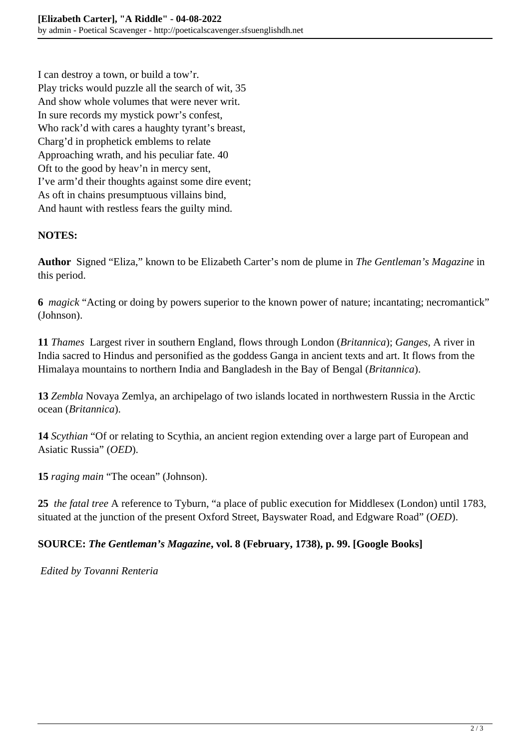I can destroy a town, or build a tow'r. Play tricks would puzzle all the search of wit, 35 And show whole volumes that were never writ. In sure records my mystick powr's confest, Who rack'd with cares a haughty tyrant's breast, Charg'd in prophetick emblems to relate Approaching wrath, and his peculiar fate. 40 Oft to the good by heav'n in mercy sent, I've arm'd their thoughts against some dire event; As oft in chains presumptuous villains bind, And haunt with restless fears the guilty mind.

# **NOTES:**

**Author** Signed "Eliza," known to be Elizabeth Carter's nom de plume in *The Gentleman's Magazine* in this period.

**6** *magick* "Acting or doing by powers superior to the known power of nature; incantating; necromantick" (Johnson).

**11** *Thames* Largest river in southern England, flows through London (*Britannica*); *Ganges,* A river in India sacred to Hindus and personified as the goddess Ganga in ancient texts and art. It flows from the Himalaya mountains to northern India and Bangladesh in the Bay of Bengal (*Britannica*).

**13** *Zembla* Novaya Zemlya, an archipelago of two islands located in northwestern Russia in the Arctic ocean (*Britannica*).

**14** *Scythian* "Of or relating to Scythia, an ancient region extending over a large part of European and Asiatic Russia" (*OED*).

**15** *raging main* "The ocean" (Johnson).

**25** *the fatal tree* A reference to Tyburn, "a place of public execution for Middlesex (London) until 1783, situated at the junction of the present Oxford Street, Bayswater Road, and Edgware Road" (*OED*).

## **SOURCE:** *The Gentleman's Magazine***, vol. 8 (February, 1738), p. 99. [Google Books]**

*Edited by Tovanni Renteria*